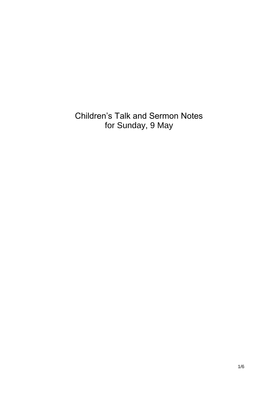Children's Talk and Sermon Notes for Sunday, 9 May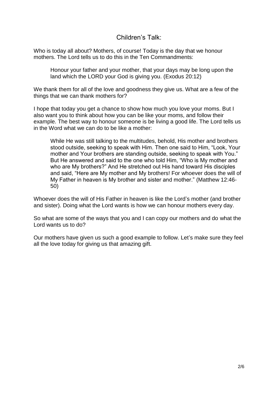Children's Talk:

Who is today all about? Mothers, of course! Today is the day that we honour mothers. The Lord tells us to do this in the Ten Commandments:

Honour your father and your mother, that your days may be long upon the land which the LORD your God is giving you. (Exodus 20:12)

We thank them for all of the love and goodness they give us. What are a few of the things that we can thank mothers for?

I hope that today you get a chance to show how much you love your moms. But I also want you to think about how you can be like your moms, and follow their example. The best way to honour someone is be living a good life. The Lord tells us in the Word what we can do to be like a mother:

While He was still talking to the multitudes, behold, His mother and brothers stood outside, seeking to speak with Him. Then one said to Him, "Look, Your mother and Your brothers are standing outside, seeking to speak with You." But He answered and said to the one who told Him, "Who is My mother and who are My brothers?" And He stretched out His hand toward His disciples and said, "Here are My mother and My brothers! For whoever does the will of My Father in heaven is My brother and sister and mother." (Matthew 12:46- 50)

Whoever does the will of His Father in heaven is like the Lord's mother (and brother and sister). Doing what the Lord wants is how we can honour mothers every day.

So what are some of the ways that you and I can copy our mothers and do what the Lord wants us to do?

Our mothers have given us such a good example to follow. Let's make sure they feel all the love today for giving us that amazing gift.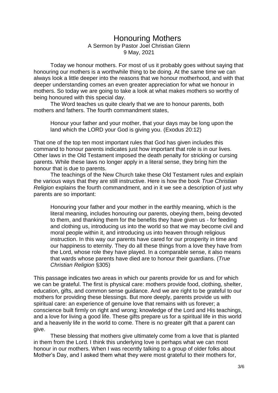## Honouring Mothers A Sermon by Pastor Joel Christian Glenn 9 May, 2021

Today we honour mothers. For most of us it probably goes without saying that honouring our mothers is a worthwhile thing to be doing. At the same time we can always look a little deeper into the reasons that we honour motherhood, and with that deeper understanding comes an even greater appreciation for what we honour in mothers. So today we are going to take a look at what makes mothers so worthy of being honoured with this special day.

The Word teaches us quite clearly that we are to honour parents, both mothers and fathers. The fourth commandment states,

Honour your father and your mother, that your days may be long upon the land which the LORD your God is giving you. (Exodus 20:12)

That one of the top ten most important rules that God has given includes this command to honour parents indicates just how important that role is in our lives. Other laws in the Old Testament imposed the death penalty for stricking or cursing parents. While these laws no longer apply in a literal sense, they bring him the honour that is due to parents.

The teachings of the New Church take these Old Testament rules and explain the various ways that they are still instructive. Here is how the book *True Christian Religion* explains the fourth commandment, and in it we see a description of just why parents are so important:

Honouring your father and your mother in the earthly meaning, which is the literal meaning, includes honouring our parents, obeying them, being devoted to them, and thanking them for the benefits they have given us - for feeding and clothing us, introducing us into the world so that we may become civil and moral people within it, and introducing us into heaven through religious instruction. In this way our parents have cared for our prosperity in time and our happiness to eternity. They do all these things from a love they have from the Lord, whose role they have played. In a comparable sense, it also means that wards whose parents have died are to honour their guardians. (*True Christian Religion* §305)

This passage indicates two areas in which our parents provide for us and for which we can be grateful. The first is physical care: mothers provide food, clothing, shelter, education, gifts, and common sense guidance. And we are right to be grateful to our mothers for providing these blessings. But more deeply, parents provide us with spiritual care: an experience of genuine love that remains with us forever; a conscience built firmly on right and wrong; knowledge of the Lord and His teachings, and a love for living a good life. These gifts prepare us for a spiritual life in this world and a heavenly life in the world to come. There is no greater gift that a parent can give.

These blessing that mothers give ultimately come from a love that is planted in them from the Lord. I think this underlying love is perhaps what we can most honour in our mothers. When I was recently talking to a group of older folks about Mother's Day, and I asked them what they were most grateful to their mothers for,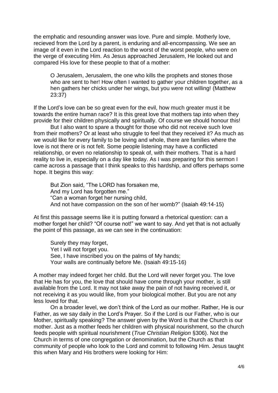the emphatic and resounding answer was love. Pure and simple. Motherly love, recieved from the Lord by a parent, is enduring and all-encompassing. We see an image of it even in the Lord reaction to the worst of the worst people, who were on the verge of executing Him. As Jesus approached Jerusalem, He looked out and compared His love for these people to that of a mother:

O Jerusalem, Jerusalem, the one who kills the prophets and stones those who are sent to her! How often I wanted to gather your children together, as a hen gathers her chicks under her wings, but you were not willing! (Matthew 23:37)

If the Lord's love can be so great even for the evil, how much greater must it be towards the entire human race? It is this great love that mothers tap into when they provide for their children physically and spiritually. Of course we should honour this!

But I also want to spare a thought for those who did not receive such love from their mothers? Or at least who struggle to feel that they received it? As much as we would like for every family to be loving and whole, there are families where the love is not there or is not felt. Some people listening may have a conflicted relationship, or even no relationship to speak of, with their mothers. That is a hard reality to live in, especially on a day like today. As I was preparing for this sermon I came across a passage that I think speaks to this hardship, and offers perhaps some hope. It begins this way:

But Zion said, "The LORD has forsaken me, And my Lord has forgotten me." "Can a woman forget her nursing child, And not have compassion on the son of her womb?" (Isaiah 49:14-15)

At first this passage seems like it is putting forward a rhetorical question: can a mother forget her child? "Of course not!" we want to say. And yet that is not actually the point of this passage, as we can see in the continuation:

Surely they may forget, Yet I will not forget you. See, I have inscribed you on the palms of My hands; Your walls are continually before Me. (Isaiah 49:15-16)

A mother may indeed forget her child. But the Lord will never forget you. The love that He has for you, the love that should have come through your mother, is still available from the Lord. It may not take away the pain of not having received it, or not receiving it as you would like, from your biological mother. But you are not any less loved for that.

On a broader level, we don't think of the Lord as our mother. Rather, He is our Father, as we say daily in the Lord's Prayer. So if the Lord is our Father, who is our Mother, spiritually speaking? The answer given by the Word is that the Church is our mother. Just as a mother feeds her children with physical nourishment, so the church feeds people with spiritual nourishment (*True Christian Religion* §306). Not the Church in terms of one congregation or denomination, but the Church as that community of people who look to the Lord and commit to following Him. Jesus taught this when Mary and His brothers were looking for Him: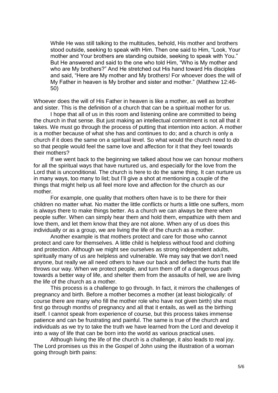While He was still talking to the multitudes, behold, His mother and brothers stood outside, seeking to speak with Him. Then one said to Him, "Look, Your mother and Your brothers are standing outside, seeking to speak with You." But He answered and said to the one who told Him, "Who is My mother and who are My brothers?" And He stretched out His hand toward His disciples and said, "Here are My mother and My brothers! For whoever does the will of My Father in heaven is My brother and sister and mother." (Matthew 12:46- 50)

Whoever does the will of His Father in heaven is like a mother, as well as brother and sister. This is the definition of a church that can be a spiritual mother for us.

I hope that all of us in this room and listening online are committed to being the church in that sense. But just making an intellectual commitment is not all that it takes. We must go through the process of putting that intention into action. A mother is a mother because of what she has and continues to do; and a church is only a church if it does the same on a spiritual level. So what would the church need to *do* so that people would feel the same love and affection for it that they feel towards their mothers?

If we went back to the beginning we talked about how we can honour mothers for all the spiritual ways that have nurtured us, and especially for the love from the Lord that is unconditional. The church is here to do the same thing. It can nurture us in many ways, too many to list; but I'll give a shot at mentioning a couple of the things that might help us all feel more love and affection for the church as our mother.

For example, one quality that mothers often have is to be there for their children no matter what. No matter the little conflicts or hurts a little one suffers, mom is always there to make things better. As a church we can always be there when people suffer. When can simply hear them and hold them, empathize with them and love them, and let them know that they are not alone. When any of us does this individually or as a group, we are living the life of the church as a mother.

Another example is that mothers protect and care for those who cannot protect and care for themselves. A little child is helpless without food and clothing and protection. Although we might see ourselves as strong independent adults, spiritually many of us are helpless and vulnerable. We may say that we don't need anyone, but really we all need others to have our back and deflect the hurts that life throws our way. When we protect people, and turn them off of a dangerous path towards a better way of life, and shelter them from the assaults of hell, we are living the life of the church as a mother.

This process is a challenge to go through. In fact, it mirrors the challenges of pregnancy and birth. Before a mother becomes a mother (at least biologically: of course there are many who fill the mother role who have not given birth) she must first go through months of pregnancy and all that it entails, as well as the birthing itself. I cannot speak from experience of course, but this process takes immense patience and can be frustrating and painful. The same is true of the church and individuals as we try to take the truth we have learned from the Lord and develop it into a way of life that can be born into the world as various practical uses.

Although living the life of the church is a challenge, it also leads to real joy. The Lord promises us this in the Gospel of John using the illustration of a woman going through birth pains: